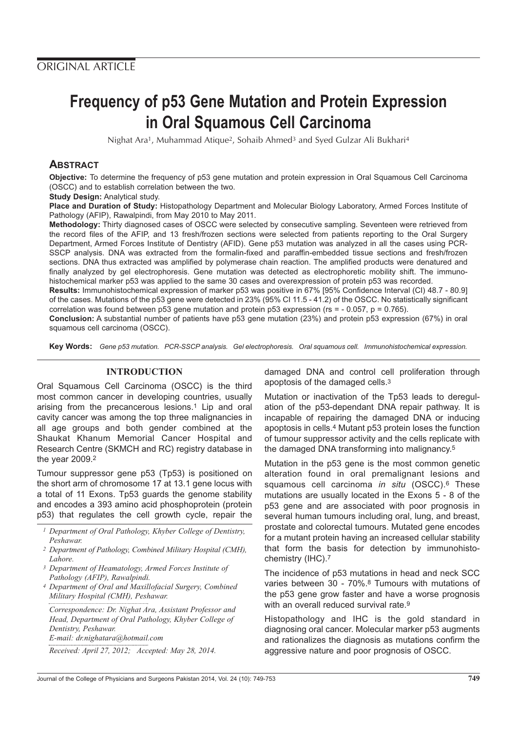# **Frequency of p53 Gene Mutation and Protein Expression in Oral Squamous Cell Carcinoma**

Nighat Ara<sup>1</sup>, Muhammad Atique<sup>2</sup>, Sohaib Ahmed<sup>3</sup> and Syed Gulzar Ali Bukhari<sup>4</sup>

## **ABSTRACT**

**Objective:** To determine the frequency of p53 gene mutation and protein expression in Oral Squamous Cell Carcinoma (OSCC) and to establish correlation between the two.

**Study Design:** Analytical study.

**Place and Duration of Study:** Histopathology Department and Molecular Biology Laboratory, Armed Forces Institute of Pathology (AFIP), Rawalpindi, from May 2010 to May 2011.

**Methodology:** Thirty diagnosed cases of OSCC were selected by consecutive sampling. Seventeen were retrieved from the record files of the AFIP, and 13 fresh/frozen sections were selected from patients reporting to the Oral Surgery Department, Armed Forces Institute of Dentistry (AFID). Gene p53 mutation was analyzed in all the cases using PCR-SSCP analysis. DNA was extracted from the formalin-fixed and paraffin-embedded tissue sections and fresh/frozen sections. DNA thus extracted was amplified by polymerase chain reaction. The amplified products were denatured and finally analyzed by gel electrophoresis. Gene mutation was detected as electrophoretic mobility shift. The immunohistochemical marker p53 was applied to the same 30 cases and overexpression of protein p53 was recorded.

**Results:** Immunohistochemical expression of marker p53 was positive in 67% [95% Confidence Interval (CI) 48.7 - 80.9] of the cases. Mutations of the p53 gene were detected in 23% (95% CI 11.5 - 41.2) of the OSCC. No statistically significant correlation was found between p53 gene mutation and protein p53 expression (rs = - 0.057, p = 0.765).

**Conclusion:** A substantial number of patients have p53 gene mutation (23%) and protein p53 expression (67%) in oral squamous cell carcinoma (OSCC).

**Key Words:** Gene p53 mutation. PCR-SSCP analysis. Gel electrophoresis. Oral squamous cell. Immunohistochemical expression.

## **INTRODUCTION**

Oral Squamous Cell Carcinoma (OSCC) is the third most common cancer in developing countries, usually arising from the precancerous lesions.1 Lip and oral cavity cancer was among the top three malignancies in all age groups and both gender combined at the Shaukat Khanum Memorial Cancer Hospital and Research Centre (SKMCH and RC) registry database in the year 2009.2

Tumour suppressor gene p53 (Tp53) is positioned on the short arm of chromosome 17 at 13.1 gene locus with a total of 11 Exons. Tp53 guards the genome stability and encodes a 393 amino acid phosphoprotein (protein p53) that regulates the cell growth cycle, repair the

- *1 Department of Oral Pathology, Khyber College of Dentistry, Peshawar.*
- *2 Department of Pathology, Combined Military Hospital (CMH), Lahore.*
- *3 Department of Heamatology, Armed Forces Institute of Pathology (AFIP), Rawalpindi.*
- *4 Department of Oral and Maxillofacial Surgery, Combined Military Hospital (CMH), Peshawar.*

*Correspondence: Dr. Nighat Ara, Assistant Professor and Head, Department of Oral Pathology, Khyber College of Dentistry, Peshawar. E-mail: dr.nighatara@hotmail.com*

*Received: April 27, 2012; Accepted: May 28, 2014.*

damaged DNA and control cell proliferation through apoptosis of the damaged cells.3

Mutation or inactivation of the Tp53 leads to deregulation of the p53-dependant DNA repair pathway. It is incapable of repairing the damaged DNA or inducing apoptosis in cells.4 Mutant p53 protein loses the function of tumour suppressor activity and the cells replicate with the damaged DNA transforming into malignancy.5

Mutation in the p53 gene is the most common genetic alteration found in oral premalignant lesions and squamous cell carcinoma in situ (OSCC).<sup>6</sup> These mutations are usually located in the Exons 5 - 8 of the p53 gene and are associated with poor prognosis in several human tumours including oral, lung, and breast, prostate and colorectal tumours. Mutated gene encodes for a mutant protein having an increased cellular stability that form the basis for detection by immunohistochemistry (IHC).7

The incidence of p53 mutations in head and neck SCC varies between 30 - 70%.8 Tumours with mutations of the p53 gene grow faster and have a worse prognosis with an overall reduced survival rate.<sup>9</sup>

Histopathology and IHC is the gold standard in diagnosing oral cancer. Molecular marker p53 augments and rationalizes the diagnosis as mutations confirm the aggressive nature and poor prognosis of OSCC.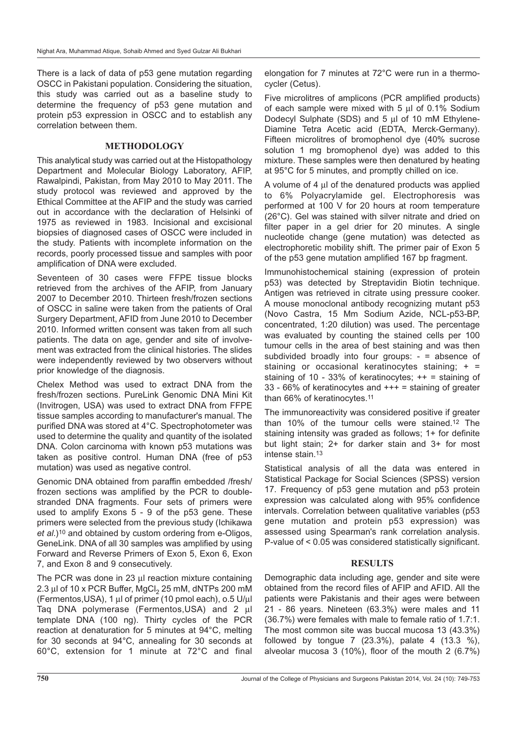There is a lack of data of p53 gene mutation regarding OSCC in Pakistani population. Considering the situation, this study was carried out as a baseline study to determine the frequency of p53 gene mutation and protein p53 expression in OSCC and to establish any correlation between them.

### **METHODOLOGY**

This analytical study was carried out at the Histopathology Department and Molecular Biology Laboratory, AFIP, Rawalpindi, Pakistan, from May 2010 to May 2011. The study protocol was reviewed and approved by the Ethical Committee at the AFIP and the study was carried out in accordance with the declaration of Helsinki of 1975 as reviewed in 1983. Incisional and excisional biopsies of diagnosed cases of OSCC were included in the study. Patients with incomplete information on the records, poorly processed tissue and samples with poor amplification of DNA were excluded.

Seventeen of 30 cases were FFPE tissue blocks retrieved from the archives of the AFIP, from January 2007 to December 2010. Thirteen fresh/frozen sections of OSCC in saline were taken from the patients of Oral Surgery Department, AFID from June 2010 to December 2010. Informed written consent was taken from all such patients. The data on age, gender and site of involvement was extracted from the clinical histories. The slides were independently reviewed by two observers without prior knowledge of the diagnosis.

Chelex Method was used to extract DNA from the fresh/frozen sections. PureLink Genomic DNA Mini Kit (Invitrogen, USA) was used to extract DNA from FFPE tissue samples according to manufacturer's manual. The purified DNA was stored at 4°C. Spectrophotometer was used to determine the quality and quantity of the isolated DNA. Colon carcinoma with known p53 mutations was taken as positive control. Human DNA (free of p53 mutation) was used as negative control.

Genomic DNA obtained from paraffin embedded /fresh/ frozen sections was amplified by the PCR to doublestranded DNA fragments. Four sets of primers were used to amplify Exons 5 - 9 of the p53 gene. These primers were selected from the previous study (Ichikawa et al.)10 and obtained by custom ordering from e-Oligos, GeneLink. DNA of all 30 samples was amplified by using Forward and Reverse Primers of Exon 5, Exon 6, Exon 7, and Exon 8 and 9 consecutively.

The PCR was done in 23 µl reaction mixture containing 2.3  $\mu$ l of 10 x PCR Buffer, MgCl<sub>2</sub> 25 mM, dNTPs 200 mM (Fermentos,USA), 1 µl of primer (10 pmol each), o.5 U/µl Taq DNA polymerase (Fermentos, USA) and 2 µl template DNA (100 ng). Thirty cycles of the PCR reaction at denaturation for 5 minutes at 94°C, melting for 30 seconds at 94°C, annealing for 30 seconds at 60°C, extension for 1 minute at 72°C and final

elongation for 7 minutes at 72°C were run in a thermocycler (Cetus).

Five microlitres of amplicons (PCR amplified products) of each sample were mixed with 5 µl of 0.1% Sodium Dodecyl Sulphate (SDS) and 5 µl of 10 mM Ethylene-Diamine Tetra Acetic acid (EDTA, Merck-Germany). Fifteen microlitres of bromophenol dye (40% sucrose solution 1 mg bromophenol dye) was added to this mixture. These samples were then denatured by heating at 95°C for 5 minutes, and promptly chilled on ice.

A volume of  $4 \mu$  of the denatured products was applied to 6% Polyacrylamide gel. Electrophoresis was performed at 100 V for 20 hours at room temperature (26°C). Gel was stained with silver nitrate and dried on filter paper in a gel drier for 20 minutes. A single nucleotide change (gene mutation) was detected as electrophoretic mobility shift. The primer pair of Exon 5 of the p53 gene mutation amplified 167 bp fragment.

Immunohistochemical staining (expression of protein p53) was detected by Streptavidin Biotin technique. Antigen was retrieved in citrate using pressure cooker. A mouse monoclonal antibody recognizing mutant p53 (Novo Castra, 15 Mm Sodium Azide, NCL-p53-BP, concentrated, 1:20 dilution) was used. The percentage was evaluated by counting the stained cells per 100 tumour cells in the area of best staining and was then subdivided broadly into four groups: - = absence of staining or occasional keratinocytes staining; + = staining of 10 - 33% of keratinocytes; ++ = staining of 33 - 66% of keratinocytes and  $++$  = staining of greater than 66% of keratinocytes.11

The immunoreactivity was considered positive if greater than 10% of the tumour cells were stained.12 The staining intensity was graded as follows; 1+ for definite but light stain; 2+ for darker stain and 3+ for most intense stain.13

Statistical analysis of all the data was entered in Statistical Package for Social Sciences (SPSS) version 17. Frequency of p53 gene mutation and p53 protein expression was calculated along with 95% confidence intervals. Correlation between qualitative variables (p53 gene mutation and protein p53 expression) was assessed using Spearman's rank correlation analysis. P-value of < 0.05 was considered statistically significant.

## **RESULTS**

Demographic data including age, gender and site were obtained from the record files of AFIP and AFID. All the patients were Pakistanis and their ages were between 21 - 86 years. Nineteen (63.3%) were males and 11 (36.7%) were females with male to female ratio of 1.7:1. The most common site was buccal mucosa 13 (43.3%) followed by tongue 7 (23.3%), palate 4 (13.3 %), alveolar mucosa 3 (10%), floor of the mouth 2 (6.7%)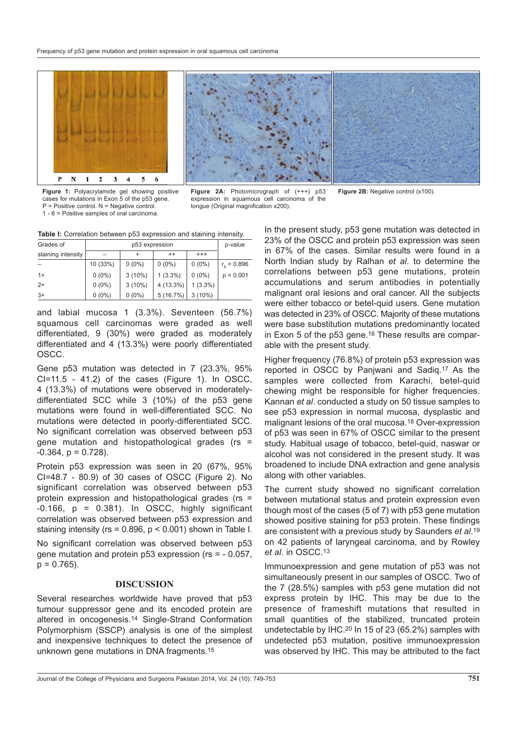

**Figure 1:** Polyacrylamide gel showing positive cases for mutations in Exon 5 of the p53 gene. P = Positive control. N = Negative control. 1 - 6 = Positive samples of oral carcinoma.

**Figure 2A:** Photomicrograph of (+++) p53 **Figure 2B:** Negative control (x100). expression in squamous cell carcinoma of the tongue (Original magnification x200).

**Table I:** Correlation between p53 expression and staining intensity.

| Grades of          | p53 expression |           |             |            | p-value             |
|--------------------|----------------|-----------|-------------|------------|---------------------|
| staining intensity |                |           | $^{++}$     | $^{+++}$   |                     |
|                    | 10 (33%)       | $0(0\%)$  | $0(0\%)$    | $0(0\%)$   | $r_{\rm s} = 0.896$ |
| $1+$               | $0(0\%)$       | $3(10\%)$ | $1(3.3\%)$  | $0(0\%)$   | p < 0.001           |
| $2+$               | $0(0\%)$       | $3(10\%)$ | $4(13.3\%)$ | $1(3.3\%)$ |                     |
| $3+$               | $0(0\%)$       | $0(0\%)$  | 5(16.7%)    | $3(10\%)$  |                     |

and labial mucosa 1 (3.3%). Seventeen (56.7%) squamous cell carcinomas were graded as well differentiated, 9 (30%) were graded as moderately differentiated and 4 (13.3%) were poorly differentiated OSCC.

Gene p53 mutation was detected in 7 (23.3%, 95% CI=11.5 - 41.2) of the cases (Figure 1). In OSCC, 4 (13.3%) of mutations were observed in moderatelydifferentiated SCC while 3 (10%) of the p53 gene mutations were found in well-differentiated SCC. No mutations were detected in poorly-differentiated SCC. No significant correlation was observed between p53 gene mutation and histopathological grades (rs =  $-0.364$ ,  $p = 0.728$ ).

Protein p53 expression was seen in 20 (67%, 95% CI=48.7 - 80.9) of 30 cases of OSCC (Figure 2). No significant correlation was observed between p53 protein expression and histopathological grades (rs =  $-0.166$ ,  $p = 0.381$ . In OSCC, highly significant correlation was observed between p53 expression and staining intensity ( $rs = 0.896$ ,  $p < 0.001$ ) shown in Table I.

No significant correlation was observed between p53 gene mutation and protein p53 expression (rs = - 0.057,  $p = 0.765$ ).

#### **DISCUSSION**

Several researches worldwide have proved that p53 tumour suppressor gene and its encoded protein are altered in oncogenesis.14 Single-Strand Conformation Polymorphism (SSCP) analysis is one of the simplest and inexpensive techniques to detect the presence of unknown gene mutations in DNA fragments.15

In the present study, p53 gene mutation was detected in 23% of the OSCC and protein p53 expression was seen in 67% of the cases. Similar results were found in a North Indian study by Ralhan et al. to determine the correlations between p53 gene mutations, protein accumulations and serum antibodies in potentially malignant oral lesions and oral cancer. All the subjects were either tobacco or betel-quid users. Gene mutation was detected in 23% of OSCC. Majority of these mutations were base substitution mutations predominantly located in Exon 5 of the p53 gene.<sup>16</sup> These results are comparable with the present study.

Higher frequency (76.8%) of protein p53 expression was reported in OSCC by Panjwani and Sadiq.17 As the samples were collected from Karachi, betel-quid chewing might be responsible for higher frequencies. Kannan et al. conducted a study on 50 tissue samples to see p53 expression in normal mucosa, dysplastic and malignant lesions of the oral mucosa.18 Over-expression of p53 was seen in 67% of OSCC similar to the present study. Habitual usage of tobacco, betel-quid, naswar or alcohol was not considered in the present study. It was broadened to include DNA extraction and gene analysis along with other variables.

The current study showed no significant correlation between mutational status and protein expression even though most of the cases (5 of 7) with p53 gene mutation showed positive staining for p53 protein. These findings are consistent with a previous study by Saunders et al.<sup>19</sup> on 42 patients of laryngeal carcinoma, and by Rowley et al. in OSCC.13

Immunoexpression and gene mutation of p53 was not simultaneously present in our samples of OSCC. Two of the 7 (28.5%) samples with p53 gene mutation did not express protein by IHC. This may be due to the presence of frameshift mutations that resulted in small quantities of the stabilized, truncated protein undetectable by IHC.20 In 15 of 23 (65.2%) samples with undetected p53 mutation, positive immunoexpression was observed by IHC. This may be attributed to the fact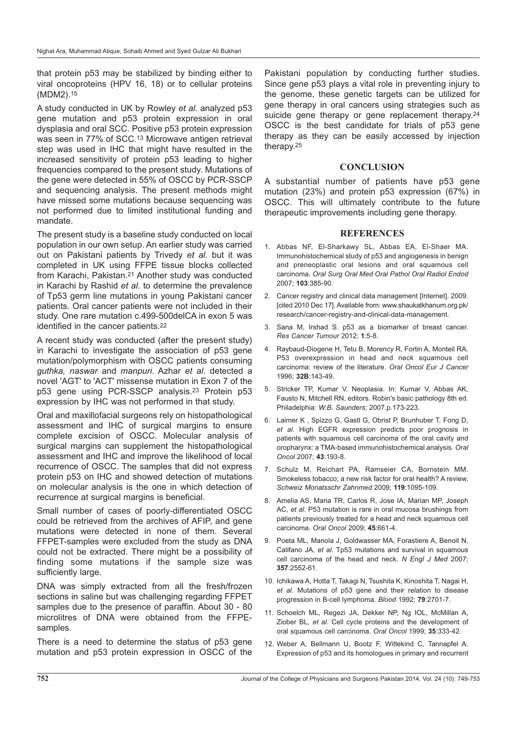that protein p53 may be stabilized by binding either to viral oncoproteins (HPV 16, 18) or to cellular proteins (MDM2).15

A study conducted in UK by Rowley et al. analyzed p53 gene mutation and p53 protein expression in oral dysplasia and oral SCC. Positive p53 protein expression was seen in 77% of SCC.<sup>13</sup> Microwave antigen retrieval step was used in IHC that might have resulted in the increased sensitivity of protein p53 leading to higher frequencies compared to the present study. Mutations of the gene were detected in 55% of OSCC by PCR-SSCP and sequencing analysis. The present methods might have missed some mutations because sequencing was not performed due to limited institutional funding and mandate.

The present study is a baseline study conducted on local population in our own setup. An earlier study was carried out on Pakistani patients by Trivedy et al. but it was completed in UK using FFPE tissue blocks collected from Karachi, Pakistan.21 Another study was conducted in Karachi by Rashid et al. to determine the prevalence of Tp53 germ line mutations in young Pakistani cancer patients. Oral cancer patients were not included in their study. One rare mutation c.499-500delCA in exon 5 was identified in the cancer patients.<sup>22</sup>

A recent study was conducted (after the present study) in Karachi to investigate the association of p53 gene mutation/polymorphism with OSCC patients consuming guthka, naswar and manpuri. Azhar et al. detected a novel 'AGT' to 'ACT' missense mutation in Exon 7 of the p53 gene using PCR-SSCP analysis.23 Protein p53 expression by IHC was not performed in that study.

Oral and maxillofacial surgeons rely on histopathological assessment and IHC of surgical margins to ensure complete excision of OSCC. Molecular analysis of surgical margins can supplement the histopathological assessment and IHC and improve the likelihood of local recurrence of OSCC. The samples that did not express protein p53 on IHC and showed detection of mutations on molecular analysis is the one in which detection of recurrence at surgical margins is beneficial.

Small number of cases of poorly-differentiated OSCC could be retrieved from the archives of AFIP, and gene mutations were detected in none of them. Several FFPET-samples were excluded from the study as DNA could not be extracted. There might be a possibility of finding some mutations if the sample size was sufficiently large.

DNA was simply extracted from all the fresh/frozen sections in saline but was challenging regarding FFPET samples due to the presence of paraffin. About 30 - 80 microlitres of DNA were obtained from the FFPEsamples.

There is a need to determine the status of p53 gene mutation and p53 protein expression in OSCC of the

Pakistani population by conducting further studies. Since gene p53 plays a vital role in preventing injury to the genome, these genetic targets can be utilized for gene therapy in oral cancers using strategies such as suicide gene therapy or gene replacement therapy.<sup>24</sup> OSCC is the best candidate for trials of p53 gene therapy as they can be easily accessed by injection therapy.25

#### **CONCLUSION**

A substantial number of patients have p53 gene mutation (23%) and protein p53 expression (67%) in OSCC. This will ultimately contribute to the future therapeutic improvements including gene therapy.

#### **REFERENCES**

- 1. Abbas NF, El-Sharkawy SL, Abbas EA, El-Shaer MA. Immunohistochemical study of p53 and angiogenesis in benign and preneoplastic oral lesions and oral squamous cell carcinoma. Oral Surg Oral Med Oral Pathol Oral Radiol Endod 2007; **103**:385-90.
- 2. Cancer registry and clinical data management [Internet]. 2009. [cited 2010 Dec 17]. Available from: www.shaukatkhanum.org.pk/ research/cancer-registry-and-clinical-data-management.
- 3. Sana M, Irshad S. p53 as a biomarker of breast cancer. Res Cancer Tumour 2012; **1**:5-8.
- 4. Raybaud-Diogene H, Tetu B, Morency R, Fortin A, Monteil RA. P53 overexpression in head and neck squamous cell carcinoma: review of the literature. Oral Oncol Eur J Cancer 1996; **32B**:143-49.
- 5. Stricker TP, Kumar V. Neoplasia. In: Kumar V, Abbas AK, Fausto N, Mitchell RN, editors. Robin's basic pathology 8th ed. Philadelphia: W.B. Saunders; 2007.p.173-223.
- 6. Laimer K , Spizzo G, Gastl G, Obrist P, Brunhuber T, Fong D, et al. High EGFR expression predicts poor prognosis in patients with squamous cell carcinoma of the oral cavity and oropharynx: a TMA-based immunohistochemical analysis. Oral Oncol 2007; **43**:193-8.
- 7. Schulz M, Reichart PA, Ramseier CA, Bornstein MM. Smokeless tobacco; a new risk factor for oral health? A review. Schweiz Monatsschr Zahnmed 2009; **119**:1095-109.
- 8. Amelia AS, Maria TR, Carlos R, Jose IA, Marian MP, Joseph AC, et al. P53 mutation is rare in oral mucosa brushings from patients previously treated for a head and neck squamous cell carcinoma. Oral Oncol 2009; **45**:661-4.
- 9. Poeta ML, Manola J, Goldwasser MA, Forastiere A, Benoit N, Califano JA, et al. Tp53 mutations and survival in squamous cell carcinoma of the head and neck. N Engl J Med 2007; **357**:2552-61.
- 10. Ichikawa A, Hotta T, Takagi N, Tsushita K, Kinoshita T, Nagai H, et al. Mutations of p53 gene and their relation to disease progression in B-cell lymphoma. Blood 1992; **79**:2701-7.
- 11. Schoelch ML, Regezi JA, Dekker NP, Ng IOL, McMillan A, Ziober BL, et al. Cell cycle proteins and the development of oral squamous cell carcinoma. Oral Oncol 1999; **35**:333-42.
- 12. Weber A, Bellmann U, Bootz F, Wittekind C, Tannapfel A. Expression of p53 and its homologues in primary and recurrent